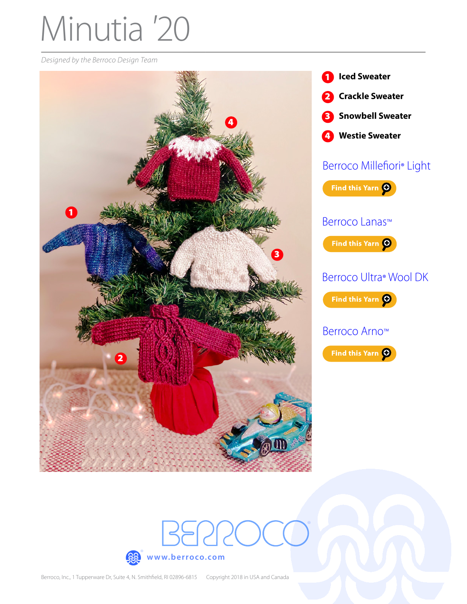# Minutia *'*20

*Designed by the Berroco Design Team*





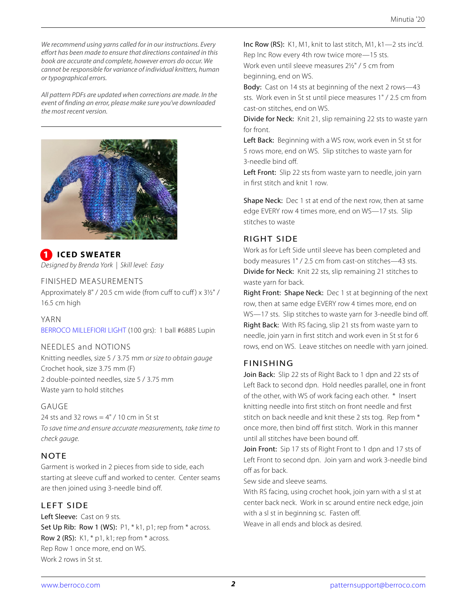*We recommend using yarns called for in our instructions. Every effort has been made to ensure that directions contained in this book are accurate and complete, however errors do occur. We cannot be responsible for variance of individual knitters, human or typographical errors.*

*All pattern PDFs are updated when corrections are made. In the event of nding an error, please make sure you've downloaded the most recent version.*



**ICED SWEATER** *Designed by Brenda York | Skill level: Easy*

#### FINISHED MEASUREMENTS

Approximately  $8" / 20.5$  cm wide (from cuff to cuff) x  $3½" / 20.5$ 16.5 cm high

#### YARN

[BERROCO MILLEFIORI LIGHT](https://www.berroco.com/yarns/berroco-millefiori-light) (100 grs): 1 ball #6885 Lupin

#### NEEDLES and NOTIONS

Knitting needles, size 5 / 3.75 mm *or size to obtain gauge* Crochet hook, size 3.75 mm (F) 2 double-pointed needles, size 5 / 3.75 mm Waste yarn to hold stitches

#### GAUGE

24 sts and 32 rows  $= 4" / 10$  cm in St st *To save time and ensure accurate measurements, take time to check gauge.*

#### **NOTE**

Garment is worked in 2 pieces from side to side, each starting at sleeve cuff and worked to center. Center seams are then joined using 3-needle bind off.

#### LEFT SIDE

Left Sleeve: Cast on 9 sts. Set Up Rib: Row 1 (WS): P1, \* k1, p1; rep from \* across. Row 2 (RS):  $K1$ ,  $*$  p1, k1; rep from  $*$  across. Rep Row 1 once more, end on WS. Work 2 rows in St st.

Inc Row (RS): K1, M1, knit to last stitch, M1, k1—2 sts inc'd. Rep Inc Row every 4th row twice more—15 sts. Work even until sleeve measures 2½" / 5 cm from beginning, end on WS.

Body: Cast on 14 sts at beginning of the next 2 rows-43 sts. Work even in St st until piece measures 1" / 2.5 cm from cast-on stitches, end on WS.

Divide for Neck: Knit 21, slip remaining 22 sts to waste yarn for front.

Left Back: Beginning with a WS row, work even in St st for 5 rows more, end on WS. Slip stitches to waste yarn for 3-needle bind off

Left Front: Slip 22 sts from waste yarn to needle, join yarn in first stitch and knit 1 row.

Shape Neck: Dec 1 st at end of the next row, then at same edge EVERY row 4 times more, end on WS—17 sts. Slip stitches to waste

#### RIGHT SIDE

Work as for Left Side until sleeve has been completed and body measures 1" / 2.5 cm from cast-on stitches—43 sts. Divide for Neck: Knit 22 sts, slip remaining 21 stitches to waste yarn for back.

Right Front: Shape Neck: Dec 1 st at beginning of the next row, then at same edge EVERY row 4 times more, end on WS-17 sts. Slip stitches to waste yarn for 3-needle bind off. Right Back: With RS facing, slip 21 sts from waste yarn to needle, join yarn in first stitch and work even in St st for 6 rows, end on WS. Leave stitches on needle with yarn joined.

#### FINISHING

Join Back: Slip 22 sts of Right Back to 1 dpn and 22 sts of Left Back to second dpn. Hold needles parallel, one in front of the other, with WS of work facing each other. \* Insert knitting needle into first stitch on front needle and first stitch on back needle and knit these 2 sts tog. Rep from \* once more, then bind off first stitch. Work in this manner until all stitches have been bound off.

Join Front: Sip 17 sts of Right Front to 1 dpn and 17 sts of Left Front to second dpn. Join yarn and work 3-needle bind off as for back.

Sew side and sleeve seams.

With RS facing, using crochet hook, join yarn with a sl st at center back neck. Work in sc around entire neck edge, join with a sl st in beginning sc. Fasten off. Weave in all ends and block as desired.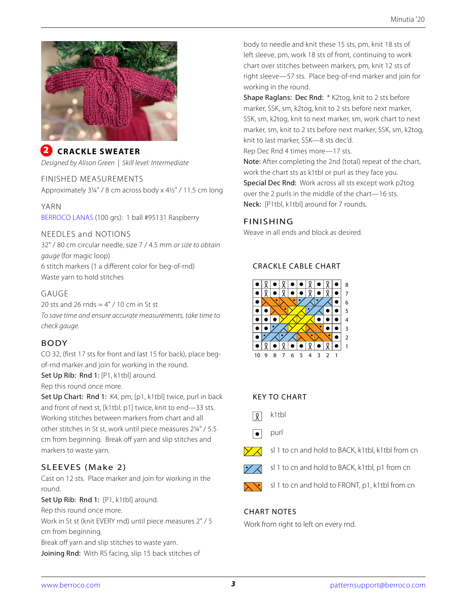

#### **CRACKLE SWEATER** 2

*Designed by Alison Green | Skill level: Intermediate*

#### FINISHED MEASUREMENTS

Approximately 3¼" / 8 cm across body x 4½" / 11.5 cm long

#### YARN

[BERROCO LANAS](https://www.berroco.com/yarns/berroco-lanas) (100 grs): 1 ball #95131 Raspberry

#### NEEDLES and NOTIONS

32" / 80 cm circular needle, size 7 / 4.5 mm *or size to obtain gauge* (for magic loop) 6 stitch markers (1 a different color for beg-of-rnd) Waste yarn to hold stitches

# GAUGE

20 sts and 26 rnds  $=$  4" / 10 cm in St st *To save time and ensure accurate measurements, take time to check gauge.*

# BODY

CO 32, (first 17 sts for front and last 15 for back), place begof-rnd marker and join for working in the round.

Set Up Rib: Rnd 1: [P1, k1tbl] around.

Rep this round once more.

Set Up Chart: Rnd 1: K4, pm, [p1, k1tbl] twice, purl in back and front of next st, [k1tbl, p1] twice, knit to end—33 sts. Working stitches between markers from chart and all other stitches in St st, work until piece measures 2¼" / 5.5 cm from beginning. Break off yarn and slip stitches and markers to waste yarn.

# SLEEVES (Make 2)

Cast on 12 sts. Place marker and join for working in the round.

Set Up Rib: Rnd 1: [P1, k1tbl] around. Rep this round once more. Work in St st (knit EVERY rnd) until piece measures 2" / 5 cm from beginning. Break off yarn and slip stitches to waste yarn.

Joining Rnd: With RS facing, slip 15 back stitches of

body to needle and knit these 15 sts, pm, knit 18 sts of left sleeve, pm, work 18 sts of front, continuing to work chart over stitches between markers, pm, knit 12 sts of right sleeve—57 sts. Place beg-of-rnd marker and join for working in the round.

Shape Raglans: Dec Rnd: \* K2tog, knit to 2 sts before marker, SSK, sm, k2tog, knit to 2 sts before next marker, SSK, sm, k2tog, knit to next marker, sm, work chart to next marker, sm, knit to 2 sts before next marker, SSK, sm, k2tog, knit to last marker, SSK—8 sts dec'd.

Rep Dec Rnd 4 times more—17 sts.

Note: After completing the 2nd (total) repeat of the chart, work the chart sts as k1tbl or purl as they face you. Special Dec Rnd: Work across all sts except work p2tog over the 2 purls in the middle of the chart—16 sts. Neck: [P1tbl, k1tbl] around for 7 rounds.

# FINISHING

Weave in all ends and block as desired.

# CRACKLE CABLE CHART



# KEY TO CHART

- k1tbl  $\sqrt{2}$
- purl  $\bullet$
- sl 1 to cn and hold to BACK, k1tbl, k1tbl from cn
- sl 1 to cn and hold to BACK, k1tbl, p1 from cn
- sl 1 to cn and hold to FRONT, p1, k1tbl from cn

# CHART NOTES

Work from right to left on every rnd.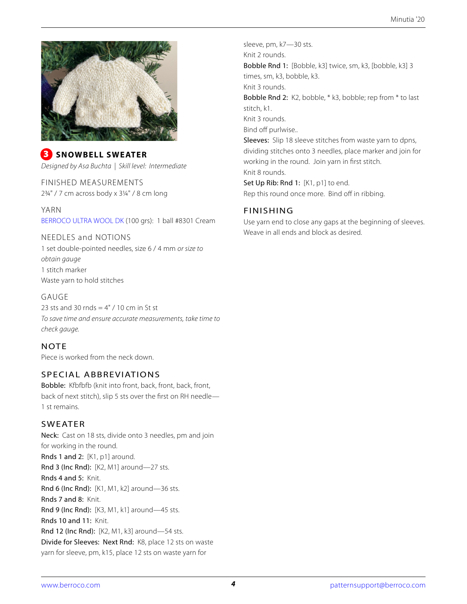

# **3** SNOWBELL SWEATER *Designed by Asa Buchta | Skill level: Intermediate*

FINISHED MEASUREMENTS 2¾" / 7 cm across body x 3¼" / 8 cm long

YARN [BERROCO ULTRA WOOL DK](http://www.berroco.com/yarns/berroco-ultra-wool-dk) (100 grs): 1 ball #8301 Cream

#### NEEDLES and NOTIONS

1 set double-pointed needles, size 6 / 4 mm *or size to obtain gauge* 1 stitch marker Waste yarn to hold stitches

#### GAUGE

23 sts and 30 rnds  $=$  4" / 10 cm in St st *To save time and ensure accurate measurements, take time to check gauge.*

# **NOTE**

Piece is worked from the neck down.

# SPECIAL ABBREVIATIONS

Bobble: Kfbfbfb (knit into front, back, front, back, front, back of next stitch), slip 5 sts over the first on RH needle-1 st remains.

# SWEATER

Neck: Cast on 18 sts, divide onto 3 needles, pm and join for working in the round. Rnds 1 and 2: [K1, p1] around. Rnd 3 (Inc Rnd): [K2, M1] around-27 sts. Rnds 4 and 5: Knit. Rnd 6 (Inc Rnd): [K1, M1, k2] around—36 sts. Rnds 7 and 8: Knit. Rnd 9 (Inc Rnd): [K3, M1, k1] around—45 sts. Rnds 10 and 11: Knit. Rnd 12 (Inc Rnd): [K2, M1, k3] around—54 sts. Divide for Sleeves: Next Rnd: K8, place 12 sts on waste yarn for sleeve, pm, k15, place 12 sts on waste yarn for

sleeve, pm, k7—30 sts. Knit 2 rounds. Bobble Rnd 1: [Bobble, k3] twice, sm, k3, [bobble, k3] 3 times, sm, k3, bobble, k3. Knit 3 rounds. Bobble Rnd 2: K2, bobble, \* k3, bobble; rep from \* to last stitch, k1. Knit 3 rounds. Bind off purlwise.. Sleeves: Slip 18 sleeve stitches from waste yarn to dpns, dividing stitches onto 3 needles, place marker and join for working in the round. Join yarn in first stitch. Knit 8 rounds. Set Up Rib: Rnd 1: [K1, p1] to end.

# FINISHING

Use yarn end to close any gaps at the beginning of sleeves. Weave in all ends and block as desired.

Rep this round once more. Bind off in ribbing.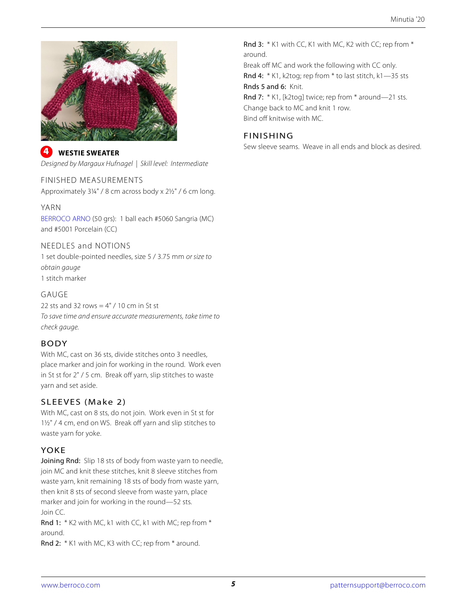

**4** WESTIE SWEATER *Designed by Margaux Hufnagel | Skill level: Intermediate*

#### FINISHED MEASUREMENTS

Approximately 3¼" / 8 cm across body x 2½" / 6 cm long.

#### YARN

[BERROCO ARNO](https://www.berroco.com/yarns/berroco-arno) (50 grs): 1 ball each #5060 Sangria (MC) and #5001 Porcelain (CC)

#### NEEDLES and NOTIONS

1 set double-pointed needles, size 5 / 3.75 mm *or size to obtain gauge* 1 stitch marker

# GAUGE

22 sts and 32 rows  $= 4" / 10$  cm in St st *To save time and ensure accurate measurements, take time to check gauge.*

# BODY

With MC, cast on 36 sts, divide stitches onto 3 needles, place marker and join for working in the round. Work even in St st for 2" / 5 cm. Break off yarn, slip stitches to waste yarn and set aside.

# SLEEVES (Make 2)

With MC, cast on 8 sts, do not join. Work even in St st for 1½" / 4 cm, end on WS. Break off yarn and slip stitches to waste yarn for yoke.

# YOKE

Joining Rnd: Slip 18 sts of body from waste yarn to needle, join MC and knit these stitches, knit 8 sleeve stitches from waste yarn, knit remaining 18 sts of body from waste yarn, then knit 8 sts of second sleeve from waste yarn, place marker and join for working in the round—52 sts. Join CC.

Rnd 1: \* K2 with MC, k1 with CC, k1 with MC; rep from \* around.

Rnd 2: \* K1 with MC, K3 with CC; rep from \* around.

Rnd 3: \* K1 with CC, K1 with MC, K2 with CC; rep from \* around. Break off MC and work the following with CC only. Rnd 4: \* K1, k2tog; rep from \* to last stitch, k1—35 sts Rnds 5 and 6: Knit. Rnd 7: \* K1, [k2toq] twice; rep from \* around-21 sts. Change back to MC and knit 1 row. Bind off knitwise with MC.

# FINISHING

Sew sleeve seams. Weave in all ends and block as desired.